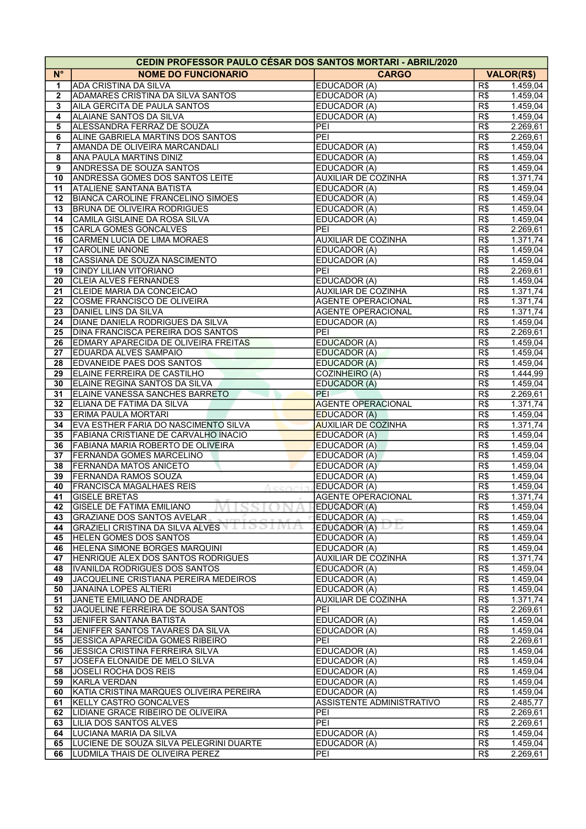|              | <b>CEDIN PROFESSOR PAULO CESAR DOS SANTOS MORTARI - ABRIL/2020</b> |                                   |                         |                      |
|--------------|--------------------------------------------------------------------|-----------------------------------|-------------------------|----------------------|
| $N^{\circ}$  | <b>NOME DO FUNCIONARIO</b>                                         | <b>CARGO</b>                      |                         | <b>VALOR(R\$)</b>    |
| 1            | ADA CRISTINA DA SILVA                                              | EDUCADOR (A)                      | R\$                     | 1.459,04             |
| $\mathbf{2}$ | ADAMARES CRISTINA DA SILVA SANTOS                                  | EDUCADOR (A)                      | R\$                     | 1.459,04             |
| 3            | AILA GERCITA DE PAULA SANTOS                                       | EDUCADOR (A)                      | R\$                     | 1.459,04             |
| 4            | ALAIANE SANTOS DA SILVA                                            | EDUCADOR (A)                      | R\$                     | 1.459,04             |
| 5            | ALESSANDRA FERRAZ DE SOUZA                                         | PEI                               | R\$                     | 2.269,61             |
| 6            | ALINE GABRIELA MARTINS DOS SANTOS                                  | PEI                               | R\$                     | 2.269,61             |
| 7            | AMANDA DE OLIVEIRA MARCANDALI                                      | EDUCADOR (A)                      | R\$                     | 1.459,04             |
| 8            | ANA PAULA MARTINS DINIZ                                            | EDUCADOR (A)                      | R\$                     | 1.459,04             |
| 9            | <b>ANDRESSA DE SOUZA SANTOS</b>                                    | EDUCADOR (A)                      | R\$                     | 1.459,04             |
| 10           | <b>ANDRESSA GOMES DOS SANTOS LEITE</b>                             | <b>AUXILIAR DE COZINHA</b>        | R\$                     | 1.371,74             |
| 11           | <b>ATALIENE SANTANA BATISTA</b>                                    | EDUCADOR (A)                      | R\$                     | 1.459,04             |
| 12           | <b>BIANCA CAROLINE FRANCELINO SIMOES</b>                           | EDUCADOR (A)                      | R\$                     | 1.459,04             |
| 13           | <b>BRUNA DE OLIVEIRA RODRIGUES</b>                                 | EDUCADOR (A)                      | R\$                     | 1.459,04             |
| 14           | CAMILA GISLAINE DA ROSA SILVA                                      | EDUCADOR (A)                      | R\$                     | 1.459,04             |
| 15           | CARLA GOMES GONCALVES                                              | PEI                               | R\$                     | 2.269,61             |
| 16           | CARMEN LUCIA DE LIMA MORAES                                        | <b>AUXILIAR DE COZINHA</b>        | R\$                     | 1.371,74             |
| 17           | <b>CAROLINE IANONE</b>                                             | EDUCADOR (A)                      | R\$                     | 1.459,04             |
| 18           | CASSIANA DE SOUZA NASCIMENTO                                       | EDUCADOR (A)                      | R\$                     | 1.459,04             |
| 19           | <b>CINDY LILIAN VITORIANO</b>                                      | PEI                               | R\$                     | 2.269,61             |
| 20           | <b>CLEIA ALVES FERNANDES</b>                                       | EDUCADOR (A)                      | R\$                     | 1.459,04             |
| 21           | CLEIDE MARIA DA CONCEICAO                                          | <b>AUXILIAR DE COZINHA</b>        | R\$                     | 1.371,74             |
| 22           | COSME FRANCISCO DE OLIVEIRA                                        | <b>AGENTE OPERACIONAL</b>         | R\$                     | 1.371,74             |
| 23           | DANIEL LINS DA SILVA                                               | <b>AGENTE OPERACIONAL</b>         | R\$                     | 1.371,74             |
| 24           | <b>DIANE DANIELA RODRIGUES DA SILVA</b>                            | EDUCADOR (A)                      | R\$                     | 1.459,04             |
| 25           | <b>DINA FRANCISCA PEREIRA DOS SANTOS</b>                           | PEI                               | R\$                     | 2.269,61             |
| 26           | EDMARY APARECIDA DE OLIVEIRA FREITAS                               | <b>EDUCADOR (A)</b>               | R\$                     | 1.459,04             |
| 27           | <b>EDUARDA ALVES SAMPAIO</b>                                       | <b>EDUCADOR (A)</b>               | R\$                     | 1.459,04             |
| 28           | <b>EDVANEIDE PAES DOS SANTOS</b>                                   | EDUCADOR (A)                      | R\$                     | 1.459,04             |
| 29           | ELAINE FERREIRA DE CASTILHO                                        | COZINHEIRO (A)                    | R\$                     | 1.444,99             |
| 30           | ELAINE REGINA SANTOS DA SILVA                                      | EDUCADOR (A)                      | R\$                     | 1.459,04             |
| 31           | ELAINE VANESSA SANCHES BARRETO                                     | PEI                               | R\$                     | 2.269,61             |
| 32           | ELIANA DE FATIMA DA SILVA                                          | <b>AGENTE OPERACIONAL</b>         | R\$                     | 1.371,74             |
| 33           | ERIMA PAULA MORTARI                                                | <b>EDUCADOR (A)</b>               | R\$                     | 1.459,04             |
| 34           | EVA ESTHER FARIA DO NASCIMENTO SILVA                               | <b>AUXILIAR DE COZINHA</b>        | R\$                     | 1.371,74             |
| 35           | FABIANA CRISTIANE DE CARVALHO INACIO                               | <b>EDUCADOR (A)</b>               | R\$                     | 1.459,04             |
| 36           | FABIANA MARIA ROBERTO DE OLIVEIRA                                  | EDUCADOR (A)                      | R\$                     | 1.459,04             |
| 37           | <b>FERNANDA GOMES MARCELINO</b>                                    | EDUCADOR (A)                      | R\$                     | 1.459,04             |
| 38           | <b>FERNANDA MATOS ANICETO</b>                                      | EDUCADOR (A)                      | R\$                     | 1.459,04             |
| 39           | <b>FERNANDA RAMOS SOUZA</b>                                        | EDUCADOR (A)                      | R\$                     | 1.459,04             |
| 40           | <b>FRANCISCA MAGALHAES REIS</b>                                    | EDUCADOR (A)                      | R\$                     | 1.459,04             |
| 41           | <b>GISELE BRETAS</b>                                               | <b>AGENTE OPERACIONAL</b>         | R\$                     | 1.371,74             |
| 42           | <b>GISELE DE FATIMA EMILIANO</b>                                   | EDUCADOR (A)                      | R\$                     | 1.459,04             |
| 43           | GRAZIANE DOS SANTOS AVELAR                                         | EDUCADOR (A)                      | R\$                     | 1.459.04             |
| 44           | GRAZIELI CRISTINA DA SILVA ALVES                                   | EDUCADOR (A)                      | R\$                     | 1.459,04             |
| 45           | <b>HELEN GOMES DOS SANTOS</b>                                      | EDUCADOR (A)                      | R\$                     | 1.459,04             |
| 46           | <b>HELENA SIMONE BORGES MARQUINI</b>                               | EDUCADOR (A)                      | R\$                     | 1.459,04             |
| 47           | HENRIQUE ALEX DOS SANTOS RODRIGUES                                 | AUXILIAR DE COZINHA               | $\overline{R\$}$        | 1.371,74             |
| 48           | IVANILDA RODRIGUES DOS SANTOS                                      | EDUCADOR (A)                      | R\$                     | 1.459,04             |
| 49           | JACQUELINE CRISTIANA PEREIRA MEDEIROS                              | EDUCADOR (A)                      | R\$<br>$\overline{R\$}$ | 1.459,04             |
| 50           | JANAINA LOPES ALTIERI<br>JANETE EMILIANO DE ANDRADE                | EDUCADOR (A)                      | $\overline{R\$}$        | 1.459,04             |
| 51<br>52     | JAQUELINE FERREIRA DE SOUSA SANTOS                                 | <b>AUXILIAR DE COZINHA</b><br>PEI | R\$                     | 1.371,74<br>2.269,61 |
| 53           | JENIFER SANTANA BATISTA                                            | EDUCADOR (A)                      | R\$                     | 1.459,04             |
| 54           | JENIFFER SANTOS TAVARES DA SILVA                                   | EDUCADOR (A)                      | R\$                     | 1.459,04             |
| 55           | JESSICA APARECIDA GOMES RIBEIRO                                    | PEI                               | R\$                     | 2.269,61             |
| 56           | JESSICA CRISTINA FERREIRA SILVA                                    | EDUCADOR (A)                      | R\$                     | 1.459,04             |
| 57           | JOSEFA ELONAIDE DE MELO SILVA                                      | EDUCADOR (A)                      | R\$                     | 1.459,04             |
| 58           | JOSELI ROCHA DOS REIS                                              | EDUCADOR (A)                      | R\$                     | 1.459,04             |
| 59           | <b>KARLA VERDAN</b>                                                | EDUCADOR (A)                      | R\$                     | 1.459,04             |
| 60           | KATIA CRISTINA MARQUES OLIVEIRA PEREIRA                            | EDUCADOR (A)                      | R\$                     | 1.459,04             |
| 61           | KELLY CASTRO GONCALVES                                             | ASSISTENTE ADMINISTRATIVO         | R\$                     | 2.485,77             |
| 62           | LIDIANE GRACE RIBEIRO DE OLIVEIRA                                  | PEI                               | R\$                     | 2.269,61             |
| 63           | LILIA DOS SANTOS ALVES                                             | PEI                               | R\$                     | 2.269,61             |
| 64           | LUCIANA MARIA DA SILVA                                             | EDUCADOR (A)                      | R\$                     | 1.459,04             |
| 65           | LUCIENE DE SOUZA SILVA PELEGRINI DUARTE                            | EDUCADOR (A)                      | R\$                     | 1.459,04             |
| 66           | LUDMILA THAIS DE OLIVEIRA PEREZ                                    | PEI                               | R\$                     | 2.269,61             |